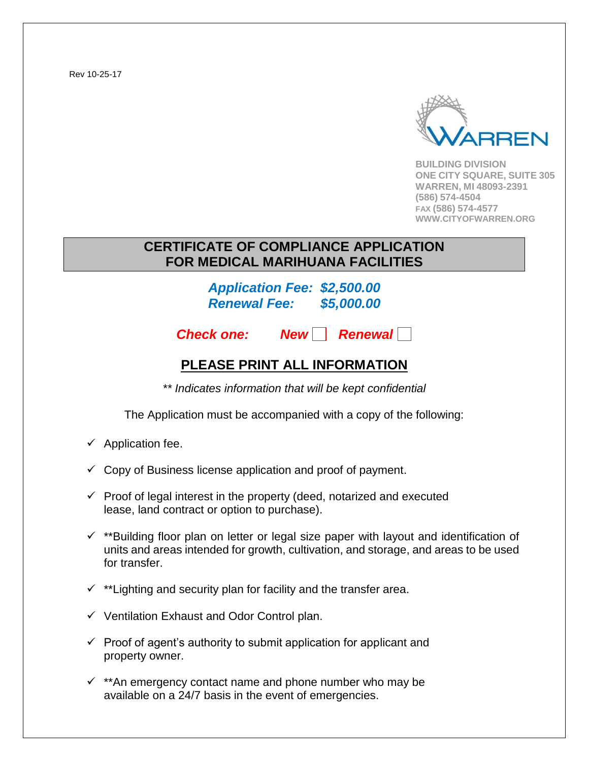Rev 10-25-17



**BUILDING DIVISION ONE CITY SQUARE, SUITE 305 WARREN, MI 48093-2391 (586) 574-4504 FAX (586) 574-4577 WWW.CITYOFWARREN.ORG**

### **CERTIFICATE OF COMPLIANCE APPLICATION FOR MEDICAL MARIHUANA FACILITIES**

### *Application Fee: \$2,500.00 Renewal Fee: \$5,000.00*

*Check one: New* | **Renewal** 

## **PLEASE PRINT ALL INFORMATION**

*\*\* Indicates information that will be kept confidential*

The Application must be accompanied with a copy of the following:

- $\checkmark$  Application fee.
- $\checkmark$  Copy of Business license application and proof of payment.
- $\checkmark$  Proof of legal interest in the property (deed, notarized and executed lease, land contract or option to purchase).
- $\checkmark$  \*\*Building floor plan on letter or legal size paper with layout and identification of units and areas intended for growth, cultivation, and storage, and areas to be used for transfer.
- $\checkmark$  \*\*Lighting and security plan for facility and the transfer area.
- $\checkmark$  Ventilation Exhaust and Odor Control plan.
- $\checkmark$  Proof of agent's authority to submit application for applicant and property owner.
- $\checkmark$  \*\*An emergency contact name and phone number who may be available on a 24/7 basis in the event of emergencies.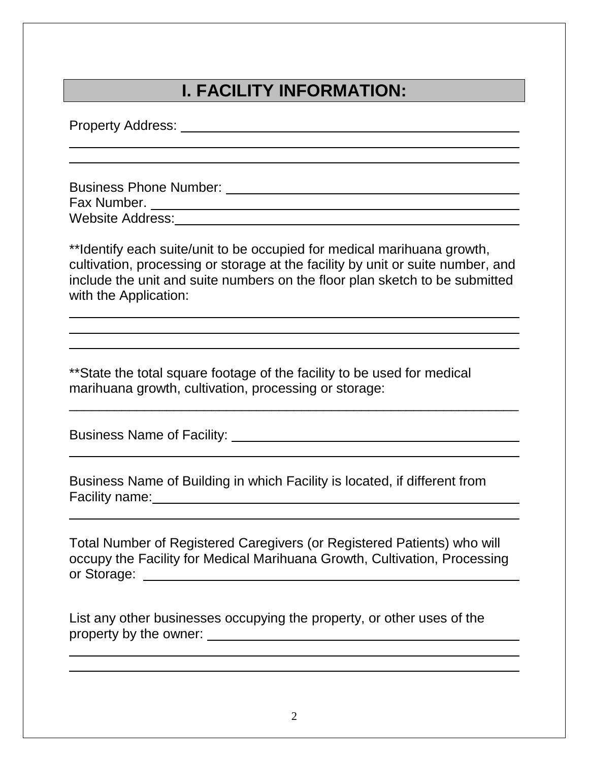# **I. FACILITY INFORMATION:**

Property Address:

Business Phone Number:

Fax Number. Website Address: Website Address:

\*\*Identify each suite/unit to be occupied for medical marihuana growth, cultivation, processing or storage at the facility by unit or suite number, and include the unit and suite numbers on the floor plan sketch to be submitted with the Application:

\*\*State the total square footage of the facility to be used for medical marihuana growth, cultivation, processing or storage:

\_\_\_\_\_\_\_\_\_\_\_\_\_\_\_\_\_\_\_\_\_\_\_\_\_\_\_\_\_\_\_\_\_\_\_\_\_\_\_\_\_\_\_\_\_\_\_\_\_\_\_\_\_\_\_\_\_\_\_\_

Business Name of Facility: **Example 2018** 

Business Name of Building in which Facility is located, if different from Facility name:

Total Number of Registered Caregivers (or Registered Patients) who will occupy the Facility for Medical Marihuana Growth, Cultivation, Processing or Storage:

List any other businesses occupying the property, or other uses of the property by the owner: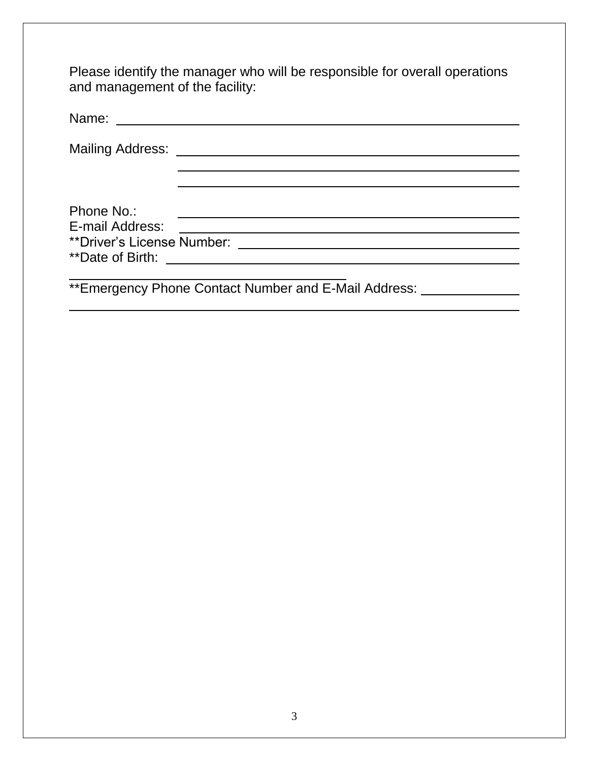Please identify the manager who will be responsible for overall operations and management of the facility:

| Name:                               |                                                       |
|-------------------------------------|-------------------------------------------------------|
|                                     |                                                       |
|                                     |                                                       |
| Phone No.:                          |                                                       |
| E-mail Address:<br>**Date of Birth: | **Driver's License Number:                            |
|                                     | ** Emergency Phone Contact Number and E-Mail Address: |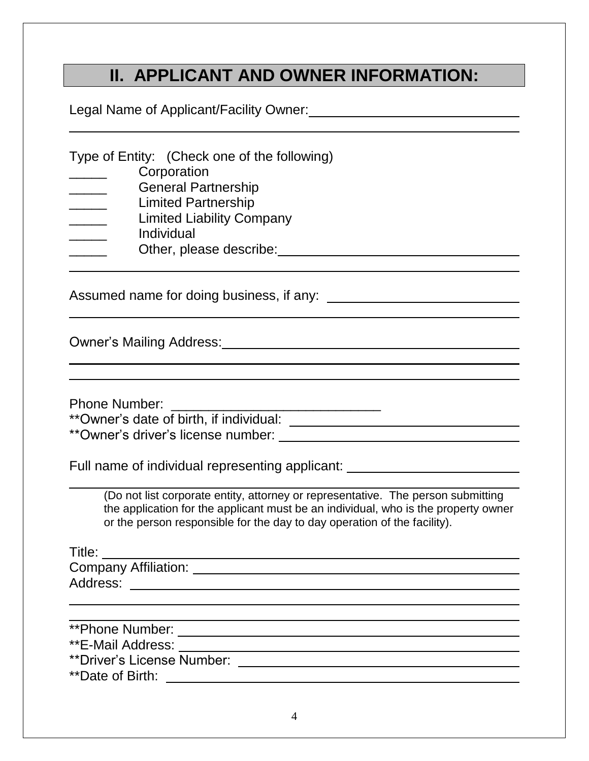## **II. APPLICANT AND OWNER INFORMATION:**

Legal Name of Applicant/Facility Owner:<br>
Legal Name of Applicant/Facility Owner:

Type of Entity: (Check one of the following)

- \_\_\_\_\_ Corporation
- General Partnership
- Limited Partnership
- Limited Liability Company
- \_\_\_\_\_ Individual
- Other, please describe:  $\Box$

Assumed name for doing business, if any:

Owner's Mailing Address:

Phone Number:

\*\*Owner's date of birth, if individual:

\*\*Owner's driver's license number:

Full name of individual representing applicant:

(Do not list corporate entity, attorney or representative. The person submitting the application for the applicant must be an individual, who is the property owner or the person responsible for the day to day operation of the facility).

Title: **The Structure 1996** 

<u> 1989 - Johann Stoff, deutscher Stoffen und der Stoffen und der Stoffen und der Stoffen und der Stoffen und der</u> Company Affiliation: Address: \_\_\_\_\_\_\_\_\_\_

\*\*Phone Number:

\*\*E-Mail Address:

\*\*Driver's License Number:

\*\*Date of Birth: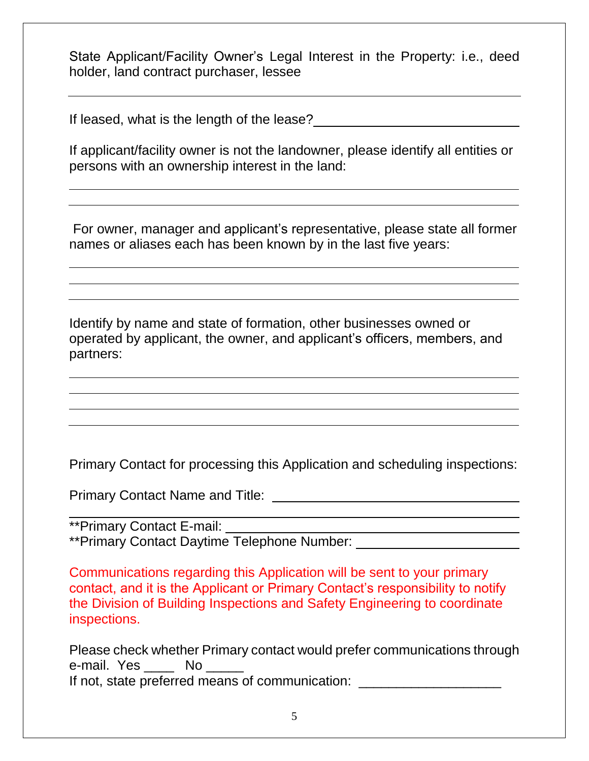State Applicant/Facility Owner's Legal Interest in the Property: i.e., deed holder, land contract purchaser, lessee

If leased, what is the length of the lease?

If applicant/facility owner is not the landowner, please identify all entities or persons with an ownership interest in the land:

For owner, manager and applicant's representative, please state all former names or aliases each has been known by in the last five years:

Identify by name and state of formation, other businesses owned or operated by applicant, the owner, and applicant's officers, members, and partners:

Primary Contact for processing this Application and scheduling inspections:

Primary Contact Name and Title:

\*\*Primary Contact E-mail:

\*\*Primary Contact Daytime Telephone Number:

Communications regarding this Application will be sent to your primary contact, and it is the Applicant or Primary Contact's responsibility to notify the Division of Building Inspections and Safety Engineering to coordinate inspections.

Please check whether Primary contact would prefer communications through e-mail. Yes \_\_\_\_ No \_\_\_\_

If not, state preferred means of communication: \_\_\_\_\_\_\_\_\_\_\_\_\_\_\_\_\_\_\_\_\_\_\_\_\_\_\_\_\_\_\_\_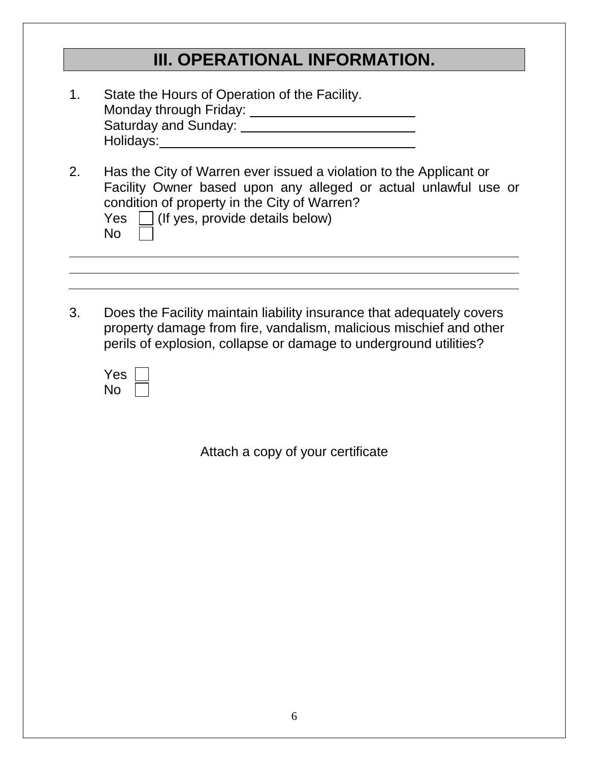## **III. OPERATIONAL INFORMATION.**

| State the Hours of Operation of the Facility. |
|-----------------------------------------------|
| Monday through Friday:                        |
| Saturday and Sunday:                          |
| Holidays:                                     |
|                                               |

2. Has the City of Warren ever issued a violation to the Applicant or Facility Owner based upon any alleged or actual unlawful use or condition of property in the City of Warren? Yes  $\Box$  (If yes, provide details below)

No

3. Does the Facility maintain liability insurance that adequately covers property damage from fire, vandalism, malicious mischief and other perils of explosion, collapse or damage to underground utilities?

| es<br>Y۱ |  |
|----------|--|
| Nο       |  |

Attach a copy of your certificate